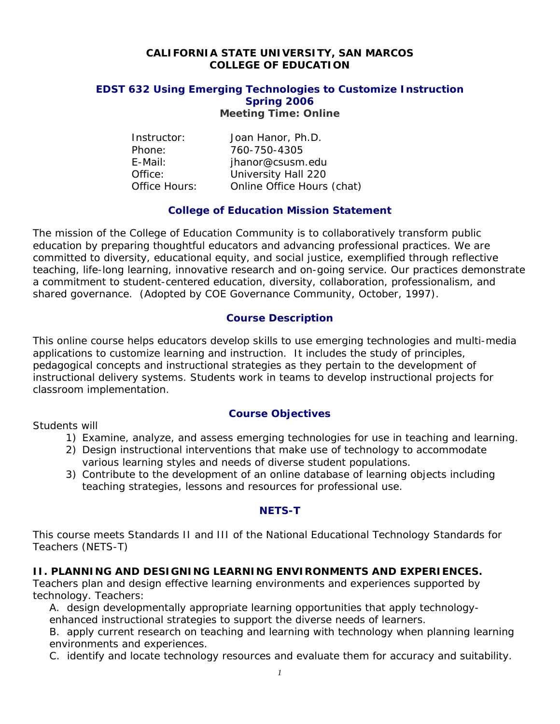#### **CALIFORNIA STATE UNIVERSITY, SAN MARCOS COLLEGE OF EDUCATION**

## **EDST 632 Using Emerging Technologies to Customize Instruction Spring 2006**

**Meeting Time: Online** 

| Joan Hanor, Ph.D.          |
|----------------------------|
| 760-750-4305               |
| jhanor@csusm.edu           |
| University Hall 220        |
| Online Office Hours (chat) |
|                            |

## **College of Education Mission Statement**

The mission of the College of Education Community is to collaboratively transform public education by preparing thoughtful educators and advancing professional practices. We are committed to diversity, educational equity, and social justice, exemplified through reflective teaching, life-long learning, innovative research and on-going service. Our practices demonstrate a commitment to student-centered education, diversity, collaboration, professionalism, and shared governance. *(Adopted by COE Governance Community, October, 1997).* 

#### **Course Description**

This online course helps educators develop skills to use emerging technologies and multi-media applications to customize learning and instruction. It includes the study of principles, pedagogical concepts and instructional strategies as they pertain to the development of instructional delivery systems. Students work in teams to develop instructional projects for classroom implementation.

Students will

## **Course Objectives**

- 1) Examine, analyze, and assess emerging technologies for use in teaching and learning.
- 2) Design instructional interventions that make use of technology to accommodate various learning styles and needs of diverse student populations.
- 3) Contribute to the development of an online database of learning objects including teaching strategies, lessons and resources for professional use.

#### **NETS-T**

This course meets Standards II and III of the National Educational Technology Standards for Teachers (NETS-T)

## **II. PLANNING AND DESIGNING LEARNING ENVIRONMENTS AND EXPERIENCES.**

*Teachers plan and design effective learning environments and experiences supported by technology. Teachers:*

A. design developmentally appropriate learning opportunities that apply technologyenhanced instructional strategies to support the diverse needs of learners.

B. apply current research on teaching and learning with technology when planning learning environments and experiences.

C. identify and locate technology resources and evaluate them for accuracy and suitability.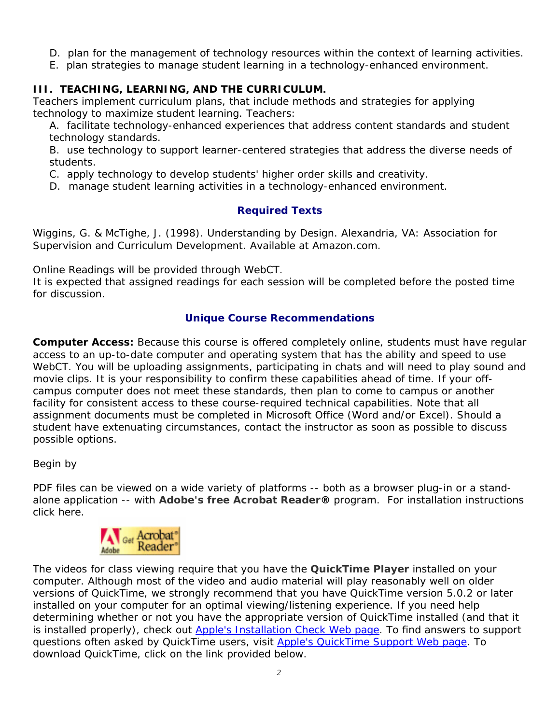- D. plan for the management of technology resources within the context of learning activities.
- E. plan strategies to manage student learning in a technology-enhanced environment.

## **III. TEACHING, LEARNING, AND THE CURRICULUM.**

*Teachers implement curriculum plans, that include methods and strategies for applying technology to maximize student learning. Teachers:*

A. facilitate technology-enhanced experiences that address content standards and student technology standards.

B. use technology to support learner-centered strategies that address the diverse needs of students.

C. apply technology to develop students' higher order skills and creativity.

D. manage student learning activities in a technology-enhanced environment.

## **Required Texts**

Wiggins, G. & McTighe, J. (1998). *Understanding by Design*. Alexandria, VA: Association for Supervision and Curriculum Development. Available at Amazon.com.

Online Readings will be provided through WebCT.

It is expected that assigned readings for each session will be completed before the posted time for discussion.

## **Unique Course Recommendations**

**Computer Access:** Because this course is offered completely online, students must have regular access to an up-to-date computer and operating system that has the ability and speed to use WebCT. You will be uploading assignments, participating in chats and will need to play sound and movie clips. It is your responsibility to confirm these capabilities ahead of time. If your offcampus computer does not meet these standards, then plan to come to campus or another facility for consistent access to these course-required technical capabilities. Note that all assignment documents must be completed in Microsoft Office (Word and/or Excel). Should a student have extenuating circumstances, contact the instructor as soon as possible to discuss possible options.

Begin by

PDF files can be viewed on a wide variety of platforms -- both as a browser plug-in or a standalone application -- with **Adobe's free Acrobat Reader®** program. For installation instructions click here.



The videos for class viewing require that you have the **QuickTime Player** installed on your computer. Although most of the video and audio material will play reasonably well on older versions of QuickTime, we strongly recommend that you have QuickTime version 5.0.2 or later installed on your computer for an optimal viewing/listening experience. If you need help determining whether or not you have the appropriate version of QuickTime installed (and that it is installed properly), check out Apple's Installation Check Web page. To find answers to support questions often asked by QuickTime users, visit Apple's QuickTime Support Web page. To download QuickTime, click on the link provided below.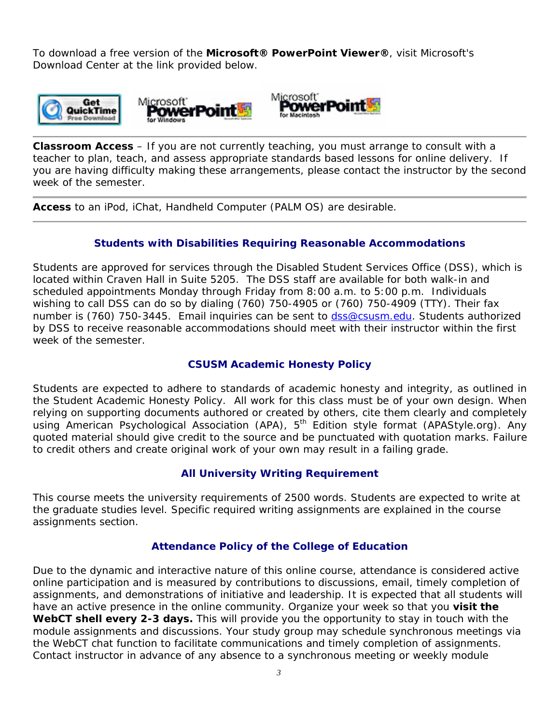To download a free version of the **Microsoft® PowerPoint Viewer®**, visit Microsoft's Download Center at the link provided below.



**Classroom Access** – If you are not currently teaching, you must arrange to consult with a teacher to plan, teach, and assess appropriate standards based lessons for online delivery. If you are having difficulty making these arrangements, please contact the instructor by the second week of the semester.

**Access** to an iPod, iChat, Handheld Computer (PALM OS) are desirable.

## **Students with Disabilities Requiring Reasonable Accommodations**

Students are approved for services through the Disabled Student Services Office (DSS), which is located within Craven Hall in Suite 5205. The DSS staff are available for both walk-in and scheduled appointments Monday through Friday from 8:00 a.m. to 5:00 p.m. Individuals wishing to call DSS can do so by dialing (760) 750-4905 or (760) 750-4909 (TTY). Their fax number is (760) 750-3445. Email inquiries can be sent to dss@csusm.edu. Students authorized by DSS to receive reasonable accommodations should meet with their instructor within the first week of the semester.

## **CSUSM Academic Honesty Policy**

Students are expected to adhere to standards of academic honesty and integrity, as outlined in the Student Academic Honesty Policy. All work for this class must be of your own design. When relying on supporting documents authored or created by others, cite them clearly and completely using American Psychological Association (APA), 5<sup>th</sup> Edition style format (APAStyle.org). Any quoted material should give credit to the source and be punctuated with quotation marks. Failure to credit others and create original work of your own may result in a failing grade.

#### **All University Writing Requirement**

This course meets the university requirements of 2500 words. Students are expected to write at the graduate studies level. Specific required writing assignments are explained in the course assignments section.

## **Attendance Policy of the College of Education**

Due to the dynamic and interactive nature of this online course, attendance is considered active online participation and is measured by contributions to discussions, email, timely completion of assignments, and demonstrations of initiative and leadership. It is expected that all students will have an active presence in the online community. Organize your week so that you **visit the WebCT shell every 2-3 days.** This will provide you the opportunity to stay in touch with the module assignments and discussions. Your study group may schedule synchronous meetings via the WebCT chat function to facilitate communications and timely completion of assignments. Contact instructor in advance of any absence to a synchronous meeting or weekly module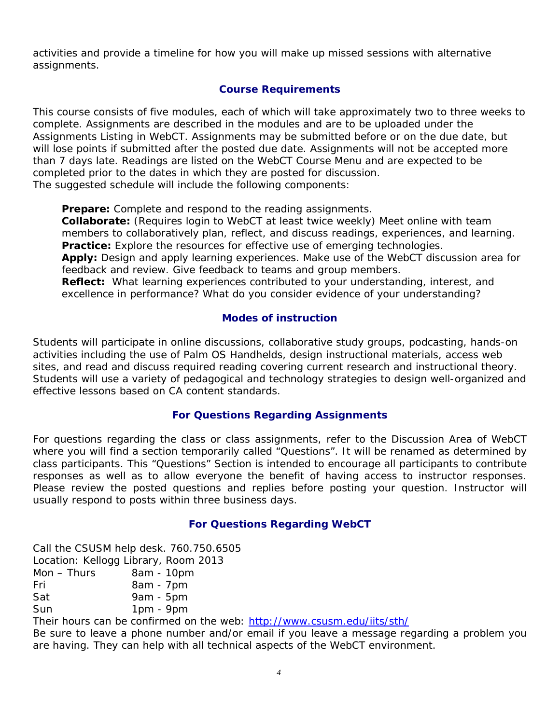activities and provide a timeline for how you will make up missed sessions with alternative assignments.

## **Course Requirements**

This course consists of five modules, each of which will take approximately two to three weeks to complete. Assignments are described in the modules and are to be uploaded under the Assignments Listing in WebCT. Assignments may be submitted before or on the due date, but will lose points if submitted after the posted due date. Assignments will not be accepted more than 7 days late. Readings are listed on the WebCT Course Menu and are expected to be completed prior to the dates in which they are posted for discussion. The suggested schedule will include the following components:

**Prepare:** Complete and respond to the reading assignments.

**Collaborate:** (Requires login to WebCT at least twice weekly) Meet online with team members to collaboratively plan, reflect, and discuss readings, experiences, and learning. **Practice:** Explore the resources for effective use of emerging technologies.

**Apply:** Design and apply learning experiences. Make use of the WebCT discussion area for feedback and review. Give feedback to teams and group members.

**Reflect:** What learning experiences contributed to your understanding, interest, and excellence in performance? What do you consider evidence of your understanding?

#### **Modes of instruction**

Students will participate in online discussions, collaborative study groups, podcasting, hands-on activities including the use of Palm OS Handhelds, design instructional materials, access web sites, and read and discuss required reading covering current research and instructional theory. Students will use a variety of pedagogical and technology strategies to design well-organized and effective lessons based on CA content standards.

## **For Questions Regarding Assignments**

For questions regarding the class or class assignments, refer to the Discussion Area of WebCT where you will find a section temporarily called "Questions". It will be renamed as determined by class participants. This "Questions" Section is intended to encourage all participants to contribute responses as well as to allow everyone the benefit of having access to instructor responses. Please review the posted questions and replies before posting your question. Instructor will usually respond to posts within three business days.

#### **For Questions Regarding WebCT**

Call the CSUSM help desk. 760.750.6505 Location: Kellogg Library, Room 2013  $Mon - Thus$  8am - 10pm Fri 8am - 7pm Sat 9am - 5pm Sun 1pm - 9pm

Their hours can be confirmed on the web: http://www.csusm.edu/iits/sth/

Be sure to leave a phone number and/or email if you leave a message regarding a problem you are having. They can help with all technical aspects of the WebCT environment.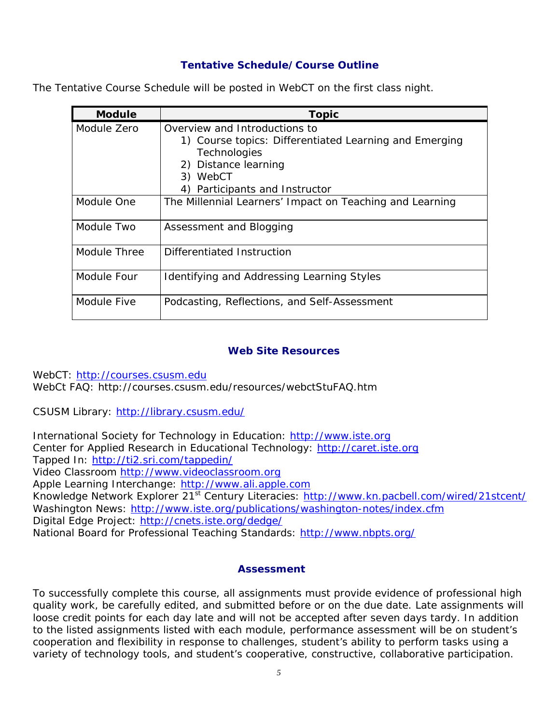## **Tentative Schedule/Course Outline**

|  | The Tentative Course Schedule will be posted in WebCT on the first class night. |
|--|---------------------------------------------------------------------------------|
|  |                                                                                 |

| <b>Module</b> | <b>Topic</b>                                                                                                                                                                  |
|---------------|-------------------------------------------------------------------------------------------------------------------------------------------------------------------------------|
| Module Zero   | Overview and Introductions to<br>1) Course topics: Differentiated Learning and Emerging<br>Technologies<br>2) Distance learning<br>3) WebCT<br>4) Participants and Instructor |
| Module One    | The Millennial Learners' Impact on Teaching and Learning                                                                                                                      |
| Module Two    | Assessment and Blogging                                                                                                                                                       |
| Module Three  | Differentiated Instruction                                                                                                                                                    |
| Module Four   | Identifying and Addressing Learning Styles                                                                                                                                    |
| Module Five   | Podcasting, Reflections, and Self-Assessment                                                                                                                                  |

#### **Web Site Resources**

WebCT: http://courses.csusm.edu WebCt FAQ: http://courses.csusm.edu/resources/webctStuFAQ.htm

CSUSM Library: http://library.csusm.edu/

International Society for Technology in Education: http://www.iste.org Center for Applied Research in Educational Technology: http://caret.iste.org Tapped In: http://ti2.sri.com/tappedin/ Video Classroom http://www.videoclassroom.org Apple Learning Interchange: http://www.ali.apple.com Knowledge Network Explorer 21<sup>st</sup> Century Literacies: http://www.kn.pacbell.com/wired/21stcent/ Washington News: http://www.iste.org/publications/washington-notes/index.cfm Digital Edge Project: http://cnets.iste.org/dedge/ National Board for Professional Teaching Standards: http://www.nbpts.org/

## **Assessment**

To successfully complete this course, all assignments must provide evidence of professional high quality work, be carefully edited, and submitted before or on the due date. Late assignments will loose credit points for each day late and will not be accepted after seven days tardy. In addition to the listed assignments listed with each module, performance assessment will be on student's cooperation and flexibility in response to challenges, student's ability to perform tasks using a variety of technology tools, and student's cooperative, constructive, collaborative participation.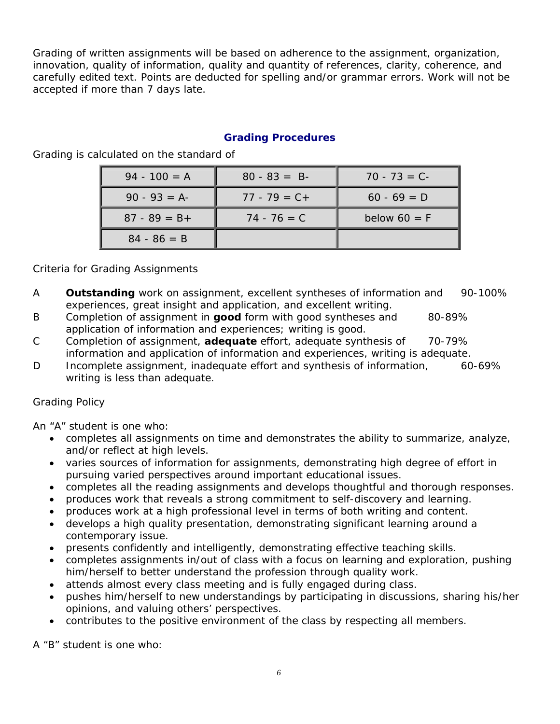Grading of written assignments will be based on adherence to the assignment, organization, innovation, quality of information, quality and quantity of references, clarity, coherence, and carefully edited text. Points are deducted for spelling and/or grammar errors. Work will not be accepted if more than 7 days late.

## **Grading Procedures**

Grading is calculated on the standard of

| $94 - 100 = A$  | $80 - 83 = B$   | $70 - 73 = C$  |
|-----------------|-----------------|----------------|
| $90 - 93 = A$   | $77 - 79 = C +$ | $60 - 69 = D$  |
| $87 - 89 = B +$ | $74 - 76 = C$   | below $60 = F$ |
| $84 - 86 = B$   |                 |                |

Criteria for Grading Assignments

- A **Outstanding** work on assignment, excellent syntheses of information and 90-100% experiences, great insight and application, and excellent writing.
- B Completion of assignment in **good** form with good syntheses and 80-89% application of information and experiences; writing is good.
- C Completion of assignment, **adequate** effort, adequate synthesis of 70-79% information and application of information and experiences, writing is adequate.
- D Incomplete assignment, inadequate effort and synthesis of information, 60-69% writing is less than adequate.

## Grading Policy

*An "A" student is one who:* 

- completes all assignments on time and demonstrates the ability to summarize, analyze, and/or reflect at high levels.
- varies sources of information for assignments, demonstrating high degree of effort in pursuing varied perspectives around important educational issues.
- completes all the reading assignments and develops thoughtful and thorough responses.
- produces work that reveals a strong commitment to self-discovery and learning.
- produces work at a high professional level in terms of both writing and content.
- develops a high quality presentation, demonstrating significant learning around a contemporary issue.
- presents confidently and intelligently, demonstrating effective teaching skills.
- completes assignments in/out of class with a focus on learning and exploration, pushing him/herself to better understand the profession through quality work.
- attends almost every class meeting and is fully engaged during class.
- pushes him/herself to new understandings by participating in discussions, sharing his/her opinions, and valuing others' perspectives.
- contributes to the positive environment of the class by respecting all members.

*A "B" student is one who:*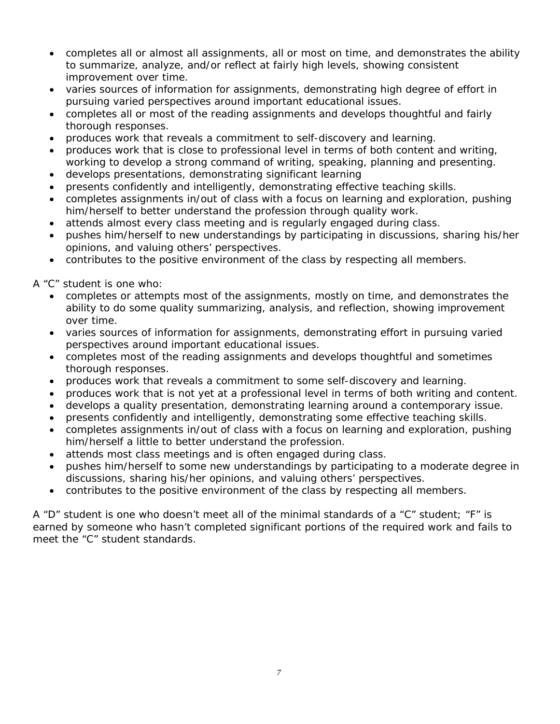- completes all or almost all assignments, all or most on time, and demonstrates the ability to summarize, analyze, and/or reflect at fairly high levels, showing consistent improvement over time.
- varies sources of information for assignments, demonstrating high degree of effort in pursuing varied perspectives around important educational issues.
- completes all or most of the reading assignments and develops thoughtful and fairly thorough responses.
- produces work that reveals a commitment to self-discovery and learning.
- produces work that is close to professional level in terms of both content and writing, working to develop a strong command of writing, speaking, planning and presenting.
- develops presentations, demonstrating significant learning
- presents confidently and intelligently, demonstrating effective teaching skills.
- completes assignments in/out of class with a focus on learning and exploration, pushing him/herself to better understand the profession through quality work.
- attends almost every class meeting and is regularly engaged during class.
- pushes him/herself to new understandings by participating in discussions, sharing his/her opinions, and valuing others' perspectives.
- contributes to the positive environment of the class by respecting all members.

## *A "C" student is one who:*

- completes or attempts most of the assignments, mostly on time, and demonstrates the ability to do some quality summarizing, analysis, and reflection, showing improvement over time.
- varies sources of information for assignments, demonstrating effort in pursuing varied perspectives around important educational issues.
- completes most of the reading assignments and develops thoughtful and sometimes thorough responses.
- produces work that reveals a commitment to some self-discovery and learning.
- produces work that is not yet at a professional level in terms of both writing and content.
- develops a quality presentation, demonstrating learning around a contemporary issue.
- presents confidently and intelligently, demonstrating some effective teaching skills.
- completes assignments in/out of class with a focus on learning and exploration, pushing him/herself a little to better understand the profession.
- attends most class meetings and is often engaged during class.
- pushes him/herself to some new understandings by participating to a moderate degree in discussions, sharing his/her opinions, and valuing others' perspectives.
- contributes to the positive environment of the class by respecting all members.

A "D" student is one who doesn't meet all of the minimal standards of a "C" student; "F" is earned by someone who hasn't completed significant portions of the required work and fails to meet the "C" student standards.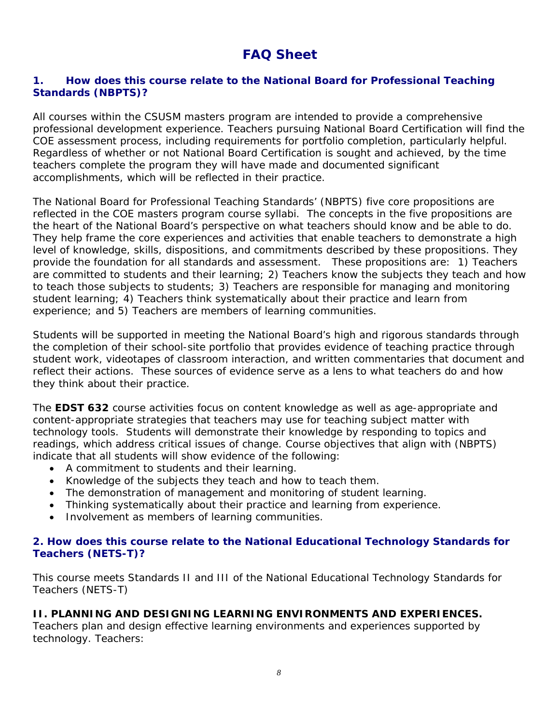# **FAQ Sheet**

## **1. How does this course relate to the National Board for Professional Teaching Standards (NBPTS)?**

All courses within the CSUSM masters program are intended to provide a comprehensive professional development experience. Teachers pursuing National Board Certification will find the COE assessment process, including requirements for portfolio completion, particularly helpful. Regardless of whether or not National Board Certification is sought and achieved, by the time teachers complete the program they will have made and documented significant accomplishments, which will be reflected in their practice.

The National Board for Professional Teaching Standards' (NBPTS) five core propositions are reflected in the COE masters program course syllabi. The concepts in the five propositions are the heart of the National Board's perspective on what teachers should know and be able to do. They help frame the core experiences and activities that enable teachers to demonstrate a high level of knowledge, skills, dispositions, and commitments described by these propositions. They provide the foundation for all standards and assessment. These propositions are: 1) Teachers are committed to students and their learning; 2) Teachers know the subjects they teach and how to teach those subjects to students; 3) Teachers are responsible for managing and monitoring student learning; 4) Teachers think systematically about their practice and learn from experience; and 5) Teachers are members of learning communities.

Students will be supported in meeting the National Board's high and rigorous standards through the completion of their school-site portfolio that provides evidence of teaching practice through student work, videotapes of classroom interaction, and written commentaries that document and reflect their actions. These sources of evidence serve as a lens to what teachers do and how they think about their practice.

The **EDST 632** course activities focus on content knowledge as well as age-appropriate and content-appropriate strategies that teachers may use for teaching subject matter with technology tools. Students will demonstrate their knowledge by responding to topics and readings, which address critical issues of change. Course objectives that align with (NBPTS) indicate that all students will show evidence of the following:

- A commitment to students and their learning.
- Knowledge of the subjects they teach and how to teach them.
- The demonstration of management and monitoring of student learning.
- Thinking systematically about their practice and learning from experience.
- Involvement as members of learning communities.

## **2. How does this course relate to the National Educational Technology Standards for Teachers (NETS-T)?**

This course meets Standards II and III of the National Educational Technology Standards for Teachers (NETS-T)

## **II. PLANNING AND DESIGNING LEARNING ENVIRONMENTS AND EXPERIENCES.**

*Teachers plan and design effective learning environments and experiences supported by technology. Teachers:*